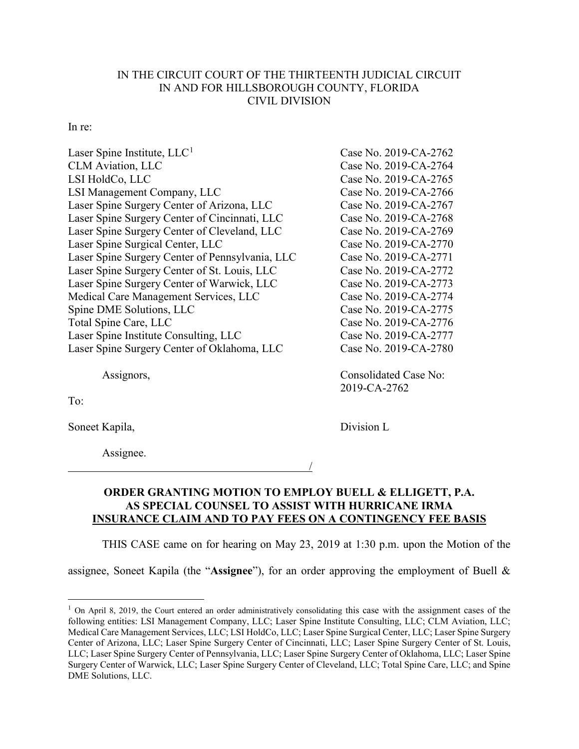## IN THE CIRCUIT COURT OF THE THIRTEENTH JUDICIAL CIRCUIT IN AND FOR HILLSBOROUGH COUNTY, FLORIDA CIVIL DIVISION

## In re:

| Laser Spine Institute, $LLC1$                   | Case No. 2019-CA-2762        |
|-------------------------------------------------|------------------------------|
| <b>CLM</b> Aviation, LLC                        | Case No. 2019-CA-2764        |
| LSI HoldCo, LLC                                 | Case No. 2019-CA-2765        |
| LSI Management Company, LLC                     | Case No. 2019-CA-2766        |
| Laser Spine Surgery Center of Arizona, LLC      | Case No. 2019-CA-2767        |
| Laser Spine Surgery Center of Cincinnati, LLC   | Case No. 2019-CA-2768        |
| Laser Spine Surgery Center of Cleveland, LLC    | Case No. 2019-CA-2769        |
| Laser Spine Surgical Center, LLC                | Case No. 2019-CA-2770        |
| Laser Spine Surgery Center of Pennsylvania, LLC | Case No. 2019-CA-2771        |
| Laser Spine Surgery Center of St. Louis, LLC    | Case No. 2019-CA-2772        |
| Laser Spine Surgery Center of Warwick, LLC      | Case No. 2019-CA-2773        |
| Medical Care Management Services, LLC           | Case No. 2019-CA-2774        |
| Spine DME Solutions, LLC                        | Case No. 2019-CA-2775        |
| Total Spine Care, LLC                           | Case No. 2019-CA-2776        |
| Laser Spine Institute Consulting, LLC           | Case No. 2019-CA-2777        |
| Laser Spine Surgery Center of Oklahoma, LLC     | Case No. 2019-CA-2780        |
| Assignors,                                      | <b>Consolidated Case No:</b> |

To:

Soneet Kapila, Division L

Assignee.

2019-CA-2762

## **ORDER GRANTING MOTION TO EMPLOY BUELL & ELLIGETT, P.A. AS SPECIAL COUNSEL TO ASSIST WITH HURRICANE IRMA INSURANCE CLAIM AND TO PAY FEES ON A CONTINGENCY FEE BASIS**

THIS CASE came on for hearing on May 23, 2019 at 1:30 p.m. upon the Motion of the

/

assignee, Soneet Kapila (the "**Assignee**"), for an order approving the employment of Buell &

<sup>&</sup>lt;sup>1</sup> On April 8, 2019, the Court entered an order administratively consolidating this case with the assignment cases of the following entities: LSI Management Company, LLC; Laser Spine Institute Consulting, LLC; CLM Aviation, LLC; Medical Care Management Services, LLC; LSI HoldCo, LLC; Laser Spine Surgical Center, LLC; Laser Spine Surgery Center of Arizona, LLC; Laser Spine Surgery Center of Cincinnati, LLC; Laser Spine Surgery Center of St. Louis, LLC; Laser Spine Surgery Center of Pennsylvania, LLC; Laser Spine Surgery Center of Oklahoma, LLC; Laser Spine Surgery Center of Warwick, LLC; Laser Spine Surgery Center of Cleveland, LLC; Total Spine Care, LLC; and Spine DME Solutions, LLC.